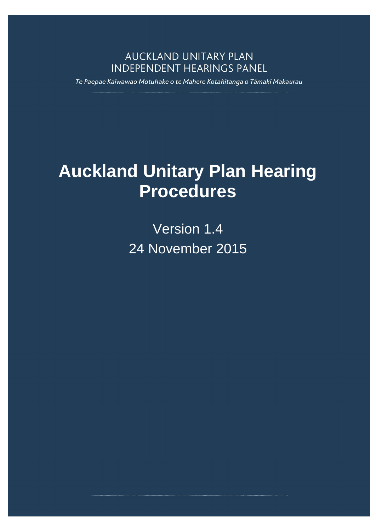### **AUCKLAND UNITARY PLAN INDEPENDENT HEARINGS PANEL**

Te Paepae Kaiwawao Motuhake o te Mahere Kotahitanga o Tāmaki Makaurau

# **Auckland Unitary Plan Hearing Procedures**

Version 1.4 24 November 2015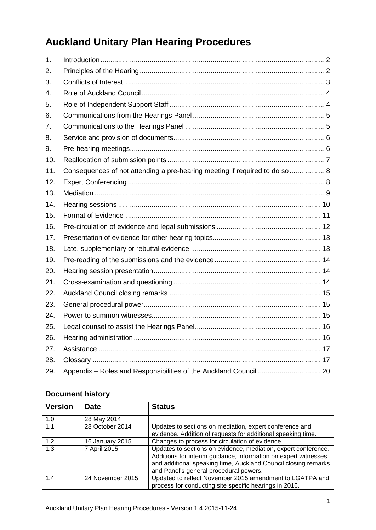# **Auckland Unitary Plan Hearing Procedures**

| 1 <sub>1</sub> |                                                                             |  |
|----------------|-----------------------------------------------------------------------------|--|
| 2.             |                                                                             |  |
| 3.             |                                                                             |  |
| 4.             |                                                                             |  |
| 5.             |                                                                             |  |
| 6.             |                                                                             |  |
| 7.             |                                                                             |  |
| 8.             |                                                                             |  |
| 9.             |                                                                             |  |
| 10.            |                                                                             |  |
| 11.            | Consequences of not attending a pre-hearing meeting if required to do so  8 |  |
| 12.            |                                                                             |  |
| 13.            |                                                                             |  |
| 14.            |                                                                             |  |
| 15.            |                                                                             |  |
| 16.            |                                                                             |  |
| 17.            |                                                                             |  |
| 18.            |                                                                             |  |
| 19.            |                                                                             |  |
| 20.            |                                                                             |  |
| 21.            |                                                                             |  |
| 22.            |                                                                             |  |
| 23.            |                                                                             |  |
| 24.            |                                                                             |  |
| 25.            |                                                                             |  |
| 26.            |                                                                             |  |
| 27.            |                                                                             |  |
| 28.            |                                                                             |  |
| 29.            |                                                                             |  |

#### **Document history**

| <b>Version</b> | <b>Date</b>      | <b>Status</b>                                                                                                                                                                                                                                 |
|----------------|------------------|-----------------------------------------------------------------------------------------------------------------------------------------------------------------------------------------------------------------------------------------------|
| 1.0            | 28 May 2014      |                                                                                                                                                                                                                                               |
| 1.1            | 28 October 2014  | Updates to sections on mediation, expert conference and<br>evidence. Addition of requests for additional speaking time.                                                                                                                       |
| 1.2            | 16 January 2015  | Changes to process for circulation of evidence                                                                                                                                                                                                |
| 1.3            | 7 April 2015     | Updates to sections on evidence, mediation, expert conference.<br>Additions for interim guidance, information on expert witnesses<br>and additional speaking time, Auckland Council closing remarks<br>and Panel's general procedural powers. |
| 1.4            | 24 November 2015 | Updated to reflect November 2015 amendment to LGATPA and<br>process for conducting site specific hearings in 2016.                                                                                                                            |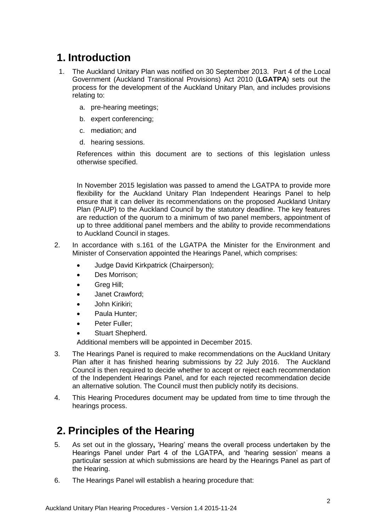# <span id="page-2-0"></span>**1. Introduction**

- 1. The Auckland Unitary Plan was notified on 30 September 2013. Part 4 of the Local Government (Auckland Transitional Provisions) Act 2010 (**LGATPA**) sets out the process for the development of the Auckland Unitary Plan, and includes provisions relating to:
	- a. pre-hearing meetings;
	- b. expert conferencing;
	- c. mediation; and
	- d. hearing sessions.

References within this document are to sections of this legislation unless otherwise specified.

In November 2015 legislation was passed to amend the LGATPA to provide more flexibility for the Auckland Unitary Plan Independent Hearings Panel to help ensure that it can deliver its recommendations on the proposed Auckland Unitary Plan (PAUP) to the Auckland Council by the statutory deadline. The key features are reduction of the quorum to a minimum of two panel members, appointment of up to three additional panel members and the ability to provide recommendations to Auckland Council in stages.

- 2. In accordance with s.161 of the LGATPA the Minister for the Environment and Minister of Conservation appointed the Hearings Panel, which comprises:
	- Judge David Kirkpatrick (Chairperson);
	- Des Morrison;
	- Greg Hill;
	- Janet Crawford;
	- John Kirikiri;
	- Paula Hunter:
	- Peter Fuller:
	- Stuart Shepherd.

Additional members will be appointed in December 2015.

- 3. The Hearings Panel is required to make recommendations on the Auckland Unitary Plan after it has finished hearing submissions by 22 July 2016. The Auckland Council is then required to decide whether to accept or reject each recommendation of the Independent Hearings Panel, and for each rejected recommendation decide an alternative solution. The Council must then publicly notify its decisions.
- 4. This Hearing Procedures document may be updated from time to time through the hearings process.

# <span id="page-2-1"></span>**2. Principles of the Hearing**

- 5. As set out in the glossary**,** 'Hearing' means the overall process undertaken by the Hearings Panel under Part 4 of the LGATPA, and 'hearing session' means a particular session at which submissions are heard by the Hearings Panel as part of the Hearing.
- 6. The Hearings Panel will establish a hearing procedure that: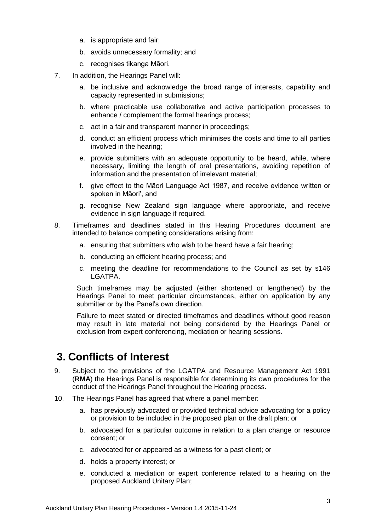- a. is appropriate and fair;
- b. avoids unnecessary formality; and
- c. recognises tikanga Māori.
- 7. In addition, the Hearings Panel will:
	- a. be inclusive and acknowledge the broad range of interests, capability and capacity represented in submissions;
	- b. where practicable use collaborative and active participation processes to enhance / complement the formal hearings process;
	- c. act in a fair and transparent manner in proceedings;
	- d. conduct an efficient process which minimises the costs and time to all parties involved in the hearing;
	- e. provide submitters with an adequate opportunity to be heard, while, where necessary, limiting the length of oral presentations, avoiding repetition of information and the presentation of irrelevant material;
	- f. give effect to the Māori Language Act 1987, and receive evidence written or spoken in Māori', and
	- g. recognise New Zealand sign language where appropriate, and receive evidence in sign language if required.
- 8. Timeframes and deadlines stated in this Hearing Procedures document are intended to balance competing considerations arising from:
	- a. ensuring that submitters who wish to be heard have a fair hearing;
	- b. conducting an efficient hearing process; and
	- c. meeting the deadline for recommendations to the Council as set by s146 LGATPA.

Such timeframes may be adjusted (either shortened or lengthened) by the Hearings Panel to meet particular circumstances, either on application by any submitter or by the Panel's own direction.

Failure to meet stated or directed timeframes and deadlines without good reason may result in late material not being considered by the Hearings Panel or exclusion from expert conferencing, mediation or hearing sessions.

# <span id="page-3-0"></span>**3. Conflicts of Interest**

- 9. Subject to the provisions of the LGATPA and Resource Management Act 1991 (**RMA**) the Hearings Panel is responsible for determining its own procedures for the conduct of the Hearings Panel throughout the Hearing process.
- 10. The Hearings Panel has agreed that where a panel member:
	- a. has previously advocated or provided technical advice advocating for a policy or provision to be included in the proposed plan or the draft plan; or
	- b. advocated for a particular outcome in relation to a plan change or resource consent; or
	- c. advocated for or appeared as a witness for a past client; or
	- d. holds a property interest; or
	- e. conducted a mediation or expert conference related to a hearing on the proposed Auckland Unitary Plan;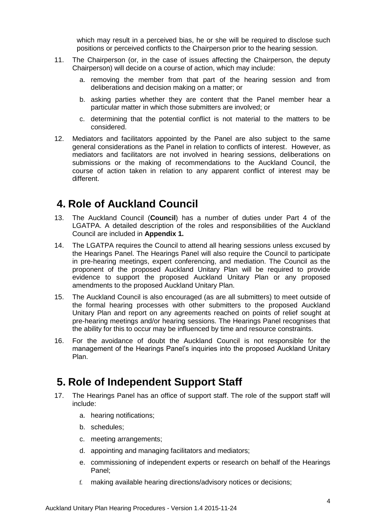which may result in a perceived bias, he or she will be required to disclose such positions or perceived conflicts to the Chairperson prior to the hearing session.

- 11. The Chairperson (or, in the case of issues affecting the Chairperson, the deputy Chairperson) will decide on a course of action, which may include:
	- a. removing the member from that part of the hearing session and from deliberations and decision making on a matter; or
	- b. asking parties whether they are content that the Panel member hear a particular matter in which those submitters are involved; or
	- c. determining that the potential conflict is not material to the matters to be considered.
- 12. Mediators and facilitators appointed by the Panel are also subject to the same general considerations as the Panel in relation to conflicts of interest. However, as mediators and facilitators are not involved in hearing sessions, deliberations on submissions or the making of recommendations to the Auckland Council, the course of action taken in relation to any apparent conflict of interest may be different.

#### <span id="page-4-0"></span>**4. Role of Auckland Council**

- 13. The Auckland Council (**Council**) has a number of duties under Part 4 of the LGATPA. A detailed description of the roles and responsibilities of the Auckland Council are included in **Appendix 1.**
- 14. The LGATPA requires the Council to attend all hearing sessions unless excused by the Hearings Panel. The Hearings Panel will also require the Council to participate in pre-hearing meetings, expert conferencing, and mediation. The Council as the proponent of the proposed Auckland Unitary Plan will be required to provide evidence to support the proposed Auckland Unitary Plan or any proposed amendments to the proposed Auckland Unitary Plan.
- 15. The Auckland Council is also encouraged (as are all submitters) to meet outside of the formal hearing processes with other submitters to the proposed Auckland Unitary Plan and report on any agreements reached on points of relief sought at pre-hearing meetings and/or hearing sessions. The Hearings Panel recognises that the ability for this to occur may be influenced by time and resource constraints.
- 16. For the avoidance of doubt the Auckland Council is not responsible for the management of the Hearings Panel's inquiries into the proposed Auckland Unitary Plan.

### <span id="page-4-1"></span>**5. Role of Independent Support Staff**

- 17. The Hearings Panel has an office of support staff. The role of the support staff will include:
	- a. hearing notifications;
	- b. schedules;
	- c. meeting arrangements;
	- d. appointing and managing facilitators and mediators;
	- e. commissioning of independent experts or research on behalf of the Hearings Panel;
	- f. making available hearing directions/advisory notices or decisions;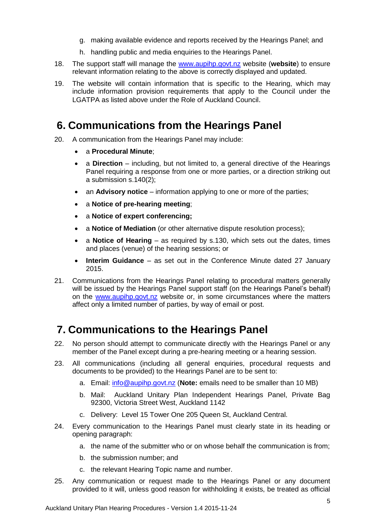- g. making available evidence and reports received by the Hearings Panel; and
- h. handling public and media enquiries to the Hearings Panel.
- 18. The support staff will manage the [www.aupihp.govt.nz](http://www.aupihp.govt.nz/) website (**website**) to ensure relevant information relating to the above is correctly displayed and updated.
- 19. The website will contain information that is specific to the Hearing, which may include information provision requirements that apply to the Council under the LGATPA as listed above under the Role of Auckland Council.

# <span id="page-5-0"></span>**6. Communications from the Hearings Panel**

- 20. A communication from the Hearings Panel may include:
	- a **Procedural Minute**;
	- a **Direction** including, but not limited to, a general directive of the Hearings Panel requiring a response from one or more parties, or a direction striking out a submission s.140(2);
	- an **Advisory notice** information applying to one or more of the parties;
	- a **Notice of pre-hearing meeting**;
	- a **Notice of expert conferencing;**
	- a **Notice of Mediation** (or other alternative dispute resolution process);
	- a **Notice of Hearing** as required by s.130, which sets out the dates, times and places (venue) of the hearing sessions; or
	- **Interim Guidance**  as set out in the Conference Minute dated 27 January 2015.
- 21. Communications from the Hearings Panel relating to procedural matters generally will be issued by the Hearings Panel support staff (on the Hearings Panel's behalf) on the [www.aupihp.govt.nz](http://www.aupihp.govt.nz/) website or, in some circumstances where the matters affect only a limited number of parties, by way of email or post.

# <span id="page-5-1"></span>**7. Communications to the Hearings Panel**

- 22. No person should attempt to communicate directly with the Hearings Panel or any member of the Panel except during a pre-hearing meeting or a hearing session.
- 23. All communications (including all general enquiries, procedural requests and documents to be provided) to the Hearings Panel are to be sent to:
	- a. Email: [info@aupihp.govt.nz](mailto:info@aupihp.govt.nz) (**Note:** emails need to be smaller than 10 MB)
	- b. Mail: Auckland Unitary Plan Independent Hearings Panel, Private Bag 92300, Victoria Street West, Auckland 1142
	- c. Delivery: Level 15 Tower One 205 Queen St, Auckland Central.
- 24. Every communication to the Hearings Panel must clearly state in its heading or opening paragraph:
	- a. the name of the submitter who or on whose behalf the communication is from;
	- b. the submission number; and
	- c. the relevant Hearing Topic name and number.
- 25. Any communication or request made to the Hearings Panel or any document provided to it will, unless good reason for withholding it exists, be treated as official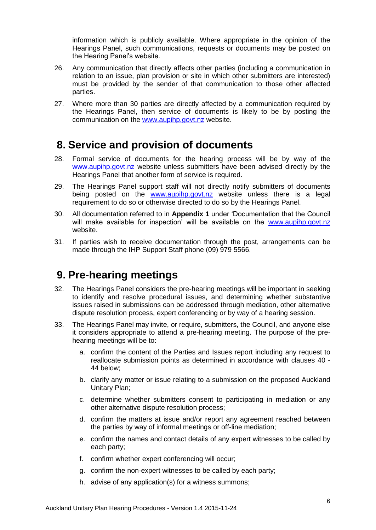information which is publicly available. Where appropriate in the opinion of the Hearings Panel, such communications, requests or documents may be posted on the Hearing Panel's website.

- 26. Any communication that directly affects other parties (including a communication in relation to an issue, plan provision or site in which other submitters are interested) must be provided by the sender of that communication to those other affected parties.
- 27. Where more than 30 parties are directly affected by a communication required by the Hearings Panel, then service of documents is likely to be by posting the communication on the [www.aupihp.govt.nz](http://www.aupihp.govt.nz/) website.

#### <span id="page-6-0"></span>**8. Service and provision of documents**

- 28. Formal service of documents for the hearing process will be by way of the [www.aupihp.govt.nz](http://www.aupihp.govt.nz/) website unless submitters have been advised directly by the Hearings Panel that another form of service is required.
- 29. The Hearings Panel support staff will not directly notify submitters of documents being posted on the [www.aupihp.govt.nz](http://www.aupihp.govt.nz/) website unless there is a legal requirement to do so or otherwise directed to do so by the Hearings Panel.
- 30. All documentation referred to in **Appendix 1** under 'Documentation that the Council will make available for inspection' will be available on the [www.aupihp.govt.nz](http://www.aupihp.govt.nz/) website.
- 31. If parties wish to receive documentation through the post, arrangements can be made through the IHP Support Staff phone (09) 979 5566.

### <span id="page-6-1"></span>**9. Pre-hearing meetings**

- 32. The Hearings Panel considers the pre-hearing meetings will be important in seeking to identify and resolve procedural issues, and determining whether substantive issues raised in submissions can be addressed through mediation, other alternative dispute resolution process, expert conferencing or by way of a hearing session.
- 33. The Hearings Panel may invite, or require, submitters, the Council, and anyone else it considers appropriate to attend a pre-hearing meeting. The purpose of the prehearing meetings will be to:
	- a. confirm the content of the Parties and Issues report including any request to reallocate submission points as determined in accordance with clauses 40 - 44 below;
	- b. clarify any matter or issue relating to a submission on the proposed Auckland Unitary Plan;
	- c. determine whether submitters consent to participating in mediation or any other alternative dispute resolution process;
	- d. confirm the matters at issue and/or report any agreement reached between the parties by way of informal meetings or off-line mediation;
	- e. confirm the names and contact details of any expert witnesses to be called by each party;
	- f. confirm whether expert conferencing will occur;
	- g. confirm the non-expert witnesses to be called by each party;
	- h. advise of any application(s) for a witness summons;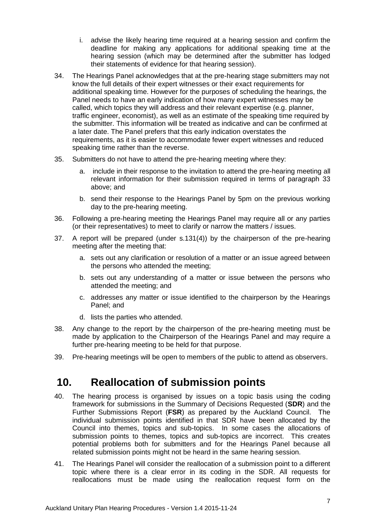- i. advise the likely hearing time required at a hearing session and confirm the deadline for making any applications for additional speaking time at the hearing session (which may be determined after the submitter has lodged their statements of evidence for that hearing session).
- 34. The Hearings Panel acknowledges that at the pre-hearing stage submitters may not know the full details of their expert witnesses or their exact requirements for additional speaking time. However for the purposes of scheduling the hearings, the Panel needs to have an early indication of how many expert witnesses may be called, which topics they will address and their relevant expertise (e.g. planner, traffic engineer, economist), as well as an estimate of the speaking time required by the submitter. This information will be treated as indicative and can be confirmed at a later date. The Panel prefers that this early indication overstates the requirements, as it is easier to accommodate fewer expert witnesses and reduced speaking time rather than the reverse.
- 35. Submitters do not have to attend the pre-hearing meeting where they:
	- a. include in their response to the invitation to attend the pre-hearing meeting all relevant information for their submission required in terms of paragraph 33 above; and
	- b. send their response to the Hearings Panel by 5pm on the previous working day to the pre-hearing meeting.
- 36. Following a pre-hearing meeting the Hearings Panel may require all or any parties (or their representatives) to meet to clarify or narrow the matters / issues.
- 37. A report will be prepared (under s.131(4)) by the chairperson of the pre-hearing meeting after the meeting that:
	- a. sets out any clarification or resolution of a matter or an issue agreed between the persons who attended the meeting;
	- b. sets out any understanding of a matter or issue between the persons who attended the meeting; and
	- c. addresses any matter or issue identified to the chairperson by the Hearings Panel; and
	- d. lists the parties who attended.
- 38. Any change to the report by the chairperson of the pre-hearing meeting must be made by application to the Chairperson of the Hearings Panel and may require a further pre-hearing meeting to be held for that purpose.
- <span id="page-7-0"></span>39. Pre-hearing meetings will be open to members of the public to attend as observers.

### **10. Reallocation of submission points**

- 40. The hearing process is organised by issues on a topic basis using the coding framework for submissions in the Summary of Decisions Requested (**SDR**) and the Further Submissions Report (**FSR**) as prepared by the Auckland Council. The individual submission points identified in that SDR have been allocated by the Council into themes, topics and sub-topics. In some cases the allocations of submission points to themes, topics and sub-topics are incorrect. This creates potential problems both for submitters and for the Hearings Panel because all related submission points might not be heard in the same hearing session.
- 41. The Hearings Panel will consider the reallocation of a submission point to a different topic where there is a clear error in its coding in the SDR. All requests for reallocations must be made using the reallocation request form on the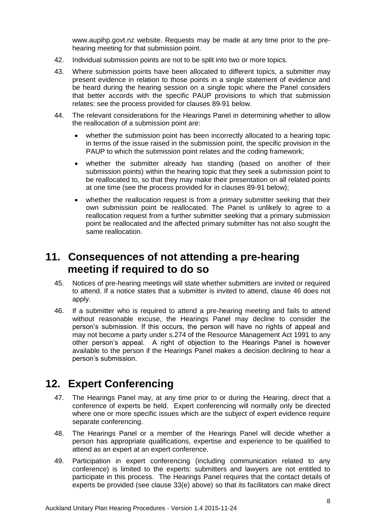www.aupihp.govt.nz website. Requests may be made at any time prior to the prehearing meeting for that submission point.

- 42. Individual submission points are not to be split into two or more topics.
- 43. Where submission points have been allocated to different topics, a submitter may present evidence in relation to those points in a single statement of evidence and be heard during the hearing session on a single topic where the Panel considers that better accords with the specific PAUP provisions to which that submission relates: see the process provided for clauses 89-91 below.
- 44. The relevant considerations for the Hearings Panel in determining whether to allow the reallocation of a submission point are:
	- whether the submission point has been incorrectly allocated to a hearing topic in terms of the issue raised in the submission point, the specific provision in the PAUP to which the submission point relates and the coding framework;
	- whether the submitter already has standing (based on another of their submission points) within the hearing topic that they seek a submission point to be reallocated to, so that they may make their presentation on all related points at one time (see the process provided for in clauses 89-91 below);
	- whether the reallocation request is from a primary submitter seeking that their own submission point be reallocated. The Panel is unlikely to agree to a reallocation request from a further submitter seeking that a primary submission point be reallocated and the affected primary submitter has not also sought the same reallocation.

#### <span id="page-8-0"></span>**11. Consequences of not attending a pre-hearing meeting if required to do so**

- 45. Notices of pre-hearing meetings will state whether submitters are invited or required to attend. If a notice states that a submitter is invited to attend, clause 46 does not apply.
- 46. If a submitter who is required to attend a pre-hearing meeting and fails to attend without reasonable excuse, the Hearings Panel may decline to consider the person's submission. If this occurs, the person will have no rights of appeal and may not become a party under s.274 of the Resource Management Act 1991 to any other person's appeal. A right of objection to the Hearings Panel is however available to the person if the Hearings Panel makes a decision declining to hear a person's submission.

### <span id="page-8-1"></span>**12. Expert Conferencing**

- 47. The Hearings Panel may, at any time prior to or during the Hearing, direct that a conference of experts be held. Expert conferencing will normally only be directed where one or more specific issues which are the subject of expert evidence require separate conferencing.
- 48. The Hearings Panel or a member of the Hearings Panel will decide whether a person has appropriate qualifications, expertise and experience to be qualified to attend as an expert at an expert conference.
- 49. Participation in expert conferencing (including communication related to any conference) is limited to the experts: submitters and lawyers are not entitled to participate in this process. The Hearings Panel requires that the contact details of experts be provided (see clause 33(e) above) so that its facilitators can make direct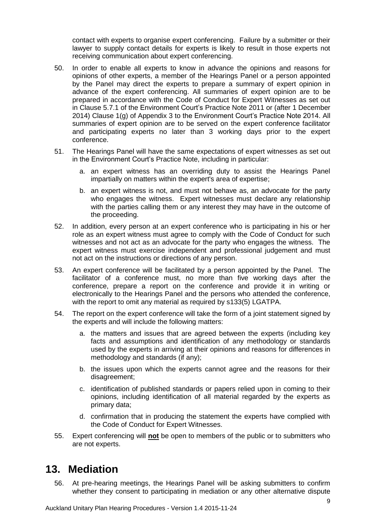contact with experts to organise expert conferencing. Failure by a submitter or their lawyer to supply contact details for experts is likely to result in those experts not receiving communication about expert conferencing.

- 50. In order to enable all experts to know in advance the opinions and reasons for opinions of other experts, a member of the Hearings Panel or a person appointed by the Panel may direct the experts to prepare a summary of expert opinion in advance of the expert conferencing. All summaries of expert opinion are to be prepared in accordance with the Code of Conduct for Expert Witnesses as set out in Clause 5.7.1 of the Environment Court's Practice Note 2011 or (after 1 December 2014) Clause 1(g) of Appendix 3 to the Environment Court's Practice Note 2014. All summaries of expert opinion are to be served on the expert conference facilitator and participating experts no later than 3 working days prior to the expert conference.
- 51. The Hearings Panel will have the same expectations of expert witnesses as set out in the Environment Court's Practice Note, including in particular:
	- a. an expert witness has an overriding duty to assist the Hearings Panel impartially on matters within the expert's area of expertise;
	- b. an expert witness is not, and must not behave as, an advocate for the party who engages the witness. Expert witnesses must declare any relationship with the parties calling them or any interest they may have in the outcome of the proceeding.
- 52. In addition, every person at an expert conference who is participating in his or her role as an expert witness must agree to comply with the Code of Conduct for such witnesses and not act as an advocate for the party who engages the witness. The expert witness must exercise independent and professional judgement and must not act on the instructions or directions of any person.
- 53. An expert conference will be facilitated by a person appointed by the Panel. The facilitator of a conference must, no more than five working days after the conference, prepare a report on the conference and provide it in writing or electronically to the Hearings Panel and the persons who attended the conference, with the report to omit any material as required by s133(5) LGATPA.
- 54. The report on the expert conference will take the form of a joint statement signed by the experts and will include the following matters:
	- a. the matters and issues that are agreed between the experts (including key facts and assumptions and identification of any methodology or standards used by the experts in arriving at their opinions and reasons for differences in methodology and standards (if any);
	- b. the issues upon which the experts cannot agree and the reasons for their disagreement;
	- c. identification of published standards or papers relied upon in coming to their opinions, including identification of all material regarded by the experts as primary data;
	- d. confirmation that in producing the statement the experts have complied with the Code of Conduct for Expert Witnesses.
- <span id="page-9-0"></span>55. Expert conferencing will **not** be open to members of the public or to submitters who are not experts.

### **13. Mediation**

56. At pre-hearing meetings, the Hearings Panel will be asking submitters to confirm whether they consent to participating in mediation or any other alternative dispute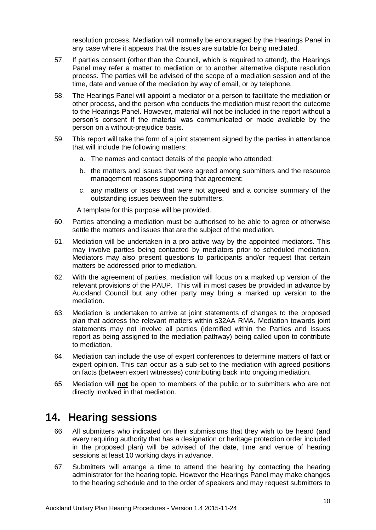resolution process. Mediation will normally be encouraged by the Hearings Panel in any case where it appears that the issues are suitable for being mediated.

- 57. If parties consent (other than the Council, which is required to attend), the Hearings Panel may refer a matter to mediation or to another alternative dispute resolution process. The parties will be advised of the scope of a mediation session and of the time, date and venue of the mediation by way of email, or by telephone.
- 58. The Hearings Panel will appoint a mediator or a person to facilitate the mediation or other process, and the person who conducts the mediation must report the outcome to the Hearings Panel. However, material will not be included in the report without a person's consent if the material was communicated or made available by the person on a without-prejudice basis.
- 59. This report will take the form of a joint statement signed by the parties in attendance that will include the following matters:
	- a. The names and contact details of the people who attended;
	- b. the matters and issues that were agreed among submitters and the resource management reasons supporting that agreement;
	- c. any matters or issues that were not agreed and a concise summary of the outstanding issues between the submitters.

A template for this purpose will be provided.

- 60. Parties attending a mediation must be authorised to be able to agree or otherwise settle the matters and issues that are the subject of the mediation.
- 61. Mediation will be undertaken in a pro-active way by the appointed mediators. This may involve parties being contacted by mediators prior to scheduled mediation. Mediators may also present questions to participants and/or request that certain matters be addressed prior to mediation.
- 62. With the agreement of parties, mediation will focus on a marked up version of the relevant provisions of the PAUP. This will in most cases be provided in advance by Auckland Council but any other party may bring a marked up version to the mediation.
- 63. Mediation is undertaken to arrive at joint statements of changes to the proposed plan that address the relevant matters within s32AA RMA. Mediation towards joint statements may not involve all parties (identified within the Parties and Issues report as being assigned to the mediation pathway) being called upon to contribute to mediation.
- 64. Mediation can include the use of expert conferences to determine matters of fact or expert opinion. This can occur as a sub-set to the mediation with agreed positions on facts (between expert witnesses) contributing back into ongoing mediation.
- <span id="page-10-0"></span>65. Mediation will **not** be open to members of the public or to submitters who are not directly involved in that mediation.

#### **14. Hearing sessions**

- 66. All submitters who indicated on their submissions that they wish to be heard (and every requiring authority that has a designation or heritage protection order included in the proposed plan) will be advised of the date, time and venue of hearing sessions at least 10 working days in advance.
- 67. Submitters will arrange a time to attend the hearing by contacting the hearing administrator for the hearing topic. However the Hearings Panel may make changes to the hearing schedule and to the order of speakers and may request submitters to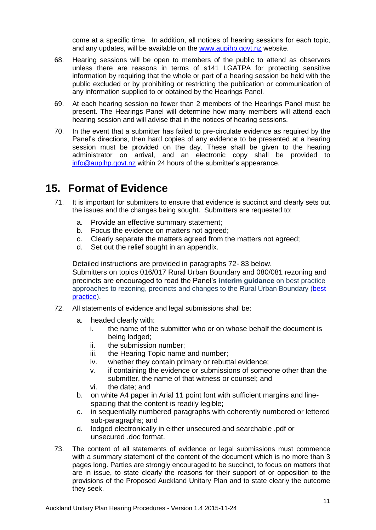come at a specific time. In addition, all notices of hearing sessions for each topic, and any updates, will be available on the [www.aupihp.govt.nz](http://www.aupihp.govt.nz/) website.

- 68. Hearing sessions will be open to members of the public to attend as observers unless there are reasons in terms of s141 LGATPA for protecting sensitive information by requiring that the whole or part of a hearing session be held with the public excluded or by prohibiting or restricting the publication or communication of any information supplied to or obtained by the Hearings Panel.
- 69. At each hearing session no fewer than 2 members of the Hearings Panel must be present. The Hearings Panel will determine how many members will attend each hearing session and will advise that in the notices of hearing sessions.
- 70. In the event that a submitter has failed to pre-circulate evidence as required by the Panel's directions, then hard copies of any evidence to be presented at a hearing session must be provided on the day. These shall be given to the hearing administrator on arrival, and an electronic copy shall be provided to [info@aupihp.govt.nz](mailto:info@aupihp.govt.nz) within 24 hours of the submitter's appearance.

## <span id="page-11-0"></span>**15. Format of Evidence**

- 71. It is important for submitters to ensure that evidence is succinct and clearly sets out the issues and the changes being sought. Submitters are requested to:
	- a. Provide an effective summary statement;
	- b. Focus the evidence on matters not agreed;
	- c. Clearly separate the matters agreed from the matters not agreed;
	- d. Set out the relief sought in an appendix.

Detailed instructions are provided in paragraphs 72- 83 below. Submitters on topics 016/017 Rural Urban Boundary and 080/081 rezoning and precincts are encouraged to read the Panel's **interim guidance** on best practice approaches to rezoning, precincts and changes to the Rural Urban Boundary [\(best](http://www.aupihp.govt.nz/documents/docs/aupihpinterimguidbestpracticerezoningprecinctsrub20150731.pdf)  [practice\)](http://www.aupihp.govt.nz/documents/docs/aupihpinterimguidbestpracticerezoningprecinctsrub20150731.pdf).

- 72. All statements of evidence and legal submissions shall be:
	- a. headed clearly with:
		- i. the name of the submitter who or on whose behalf the document is being lodged;
		- ii. the submission number;
		- iii. the Hearing Topic name and number;
		- iv. whether they contain primary or rebuttal evidence;
		- v. if containing the evidence or submissions of someone other than the submitter, the name of that witness or counsel; and
		- vi. the date; and
	- b. on white A4 paper in Arial 11 point font with sufficient margins and linespacing that the content is readily legible;
	- c. in sequentially numbered paragraphs with coherently numbered or lettered sub-paragraphs; and
	- d. lodged electronically in either unsecured and searchable .pdf or unsecured .doc format.
- 73. The content of all statements of evidence or legal submissions must commence with a summary statement of the content of the document which is no more than 3 pages long. Parties are strongly encouraged to be succinct, to focus on matters that are in issue, to state clearly the reasons for their support of or opposition to the provisions of the Proposed Auckland Unitary Plan and to state clearly the outcome they seek.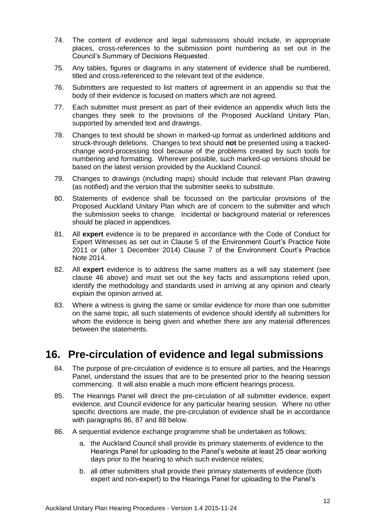- 74. The content of evidence and legal submissions should include, in appropriate places, cross-references to the submission point numbering as set out in the Council's Summary of Decisions Requested.
- 75. Any tables, figures or diagrams in any statement of evidence shall be numbered, titled and cross-referenced to the relevant text of the evidence.
- 76. Submitters are requested to list matters of agreement in an appendix so that the body of their evidence is focused on matters which are not agreed.
- 77. Each submitter must present as part of their evidence an appendix which lists the changes they seek to the provisions of the Proposed Auckland Unitary Plan, supported by amended text and drawings.
- 78. Changes to text should be shown in marked-up format as underlined additions and struck-through deletions. Changes to text should **not** be presented using a trackedchange word-processing tool because of the problems created by such tools for numbering and formatting. Wherever possible, such marked-up versions should be based on the latest version provided by the Auckland Council.
- 79. Changes to drawings (including maps) should include that relevant Plan drawing (as notified) and the version that the submitter seeks to substitute.
- 80. Statements of evidence shall be focussed on the particular provisions of the Proposed Auckland Unitary Plan which are of concern to the submitter and which the submission seeks to change. Incidental or background material or references should be placed in appendices.
- 81. All **expert** evidence is to be prepared in accordance with the Code of Conduct for Expert Witnesses as set out in Clause 5 of the Environment Court's Practice Note 2011 or (after 1 December 2014) Clause 7 of the Environment Court's Practice Note 2014.
- 82. All **expert** evidence is to address the same matters as a will say statement (see clause 46 above) and must set out the key facts and assumptions relied upon, identify the methodology and standards used in arriving at any opinion and clearly explain the opinion arrived at.
- 83. Where a witness is giving the same or similar evidence for more than one submitter on the same topic, all such statements of evidence should identify all submitters for whom the evidence is being given and whether there are any material differences between the statements.

### <span id="page-12-0"></span>**16. Pre-circulation of evidence and legal submissions**

- 84. The purpose of pre-circulation of evidence is to ensure all parties, and the Hearings Panel, understand the issues that are to be presented prior to the hearing session commencing. It will also enable a much more efficient hearings process.
- 85. The Hearings Panel will direct the pre-circulation of all submitter evidence, expert evidence, and Council evidence for any particular hearing session. Where no other specific directions are made, the pre-circulation of evidence shall be in accordance with paragraphs 86, 87 and 88 below.
- 86. A sequential evidence exchange programme shall be undertaken as follows;
	- a. the Auckland Council shall provide its primary statements of evidence to the Hearings Panel for uploading to the Panel's website at least 25 clear working days prior to the hearing to which such evidence relates;
	- b. all other submitters shall provide their primary statements of evidence (both expert and non-expert) to the Hearings Panel for uploading to the Panel's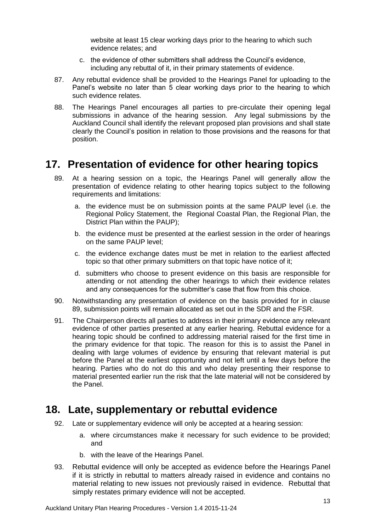website at least 15 clear working days prior to the hearing to which such evidence relates; and

- c. the evidence of other submitters shall address the Council's evidence, including any rebuttal of it, in their primary statements of evidence.
- 87. Any rebuttal evidence shall be provided to the Hearings Panel for uploading to the Panel's website no later than 5 clear working days prior to the hearing to which such evidence relates.
- 88. The Hearings Panel encourages all parties to pre-circulate their opening legal submissions in advance of the hearing session. Any legal submissions by the Auckland Council shall identify the relevant proposed plan provisions and shall state clearly the Council's position in relation to those provisions and the reasons for that position.

#### <span id="page-13-0"></span>**17. Presentation of evidence for other hearing topics**

- 89. At a hearing session on a topic, the Hearings Panel will generally allow the presentation of evidence relating to other hearing topics subject to the following requirements and limitations:
	- a. the evidence must be on submission points at the same PAUP level (i.e. the Regional Policy Statement, the Regional Coastal Plan, the Regional Plan, the District Plan within the PAUP);
	- b. the evidence must be presented at the earliest session in the order of hearings on the same PAUP level;
	- c. the evidence exchange dates must be met in relation to the earliest affected topic so that other primary submitters on that topic have notice of it;
	- d. submitters who choose to present evidence on this basis are responsible for attending or not attending the other hearings to which their evidence relates and any consequences for the submitter's case that flow from this choice.
- 90. Notwithstanding any presentation of evidence on the basis provided for in clause 89, submission points will remain allocated as set out in the SDR and the FSR.
- 91. The Chairperson directs all parties to address in their primary evidence any relevant evidence of other parties presented at any earlier hearing. Rebuttal evidence for a hearing topic should be confined to addressing material raised for the first time in the primary evidence for that topic. The reason for this is to assist the Panel in dealing with large volumes of evidence by ensuring that relevant material is put before the Panel at the earliest opportunity and not left until a few days before the hearing. Parties who do not do this and who delay presenting their response to material presented earlier run the risk that the late material will not be considered by the Panel.

#### <span id="page-13-1"></span>**18. Late, supplementary or rebuttal evidence**

- 92. Late or supplementary evidence will only be accepted at a hearing session:
	- a. where circumstances make it necessary for such evidence to be provided; and
	- b. with the leave of the Hearings Panel.
- 93. Rebuttal evidence will only be accepted as evidence before the Hearings Panel if it is strictly in rebuttal to matters already raised in evidence and contains no material relating to new issues not previously raised in evidence. Rebuttal that simply restates primary evidence will not be accepted.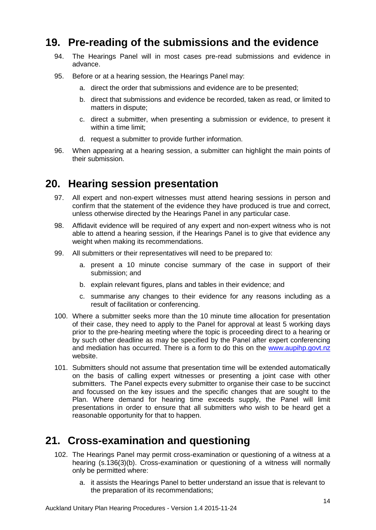#### **19. Pre-reading of the submissions and the evidence**

- <span id="page-14-0"></span>94. The Hearings Panel will in most cases pre-read submissions and evidence in advance.
- 95. Before or at a hearing session, the Hearings Panel may:
	- a. direct the order that submissions and evidence are to be presented;
	- b. direct that submissions and evidence be recorded, taken as read, or limited to matters in dispute;
	- c. direct a submitter, when presenting a submission or evidence, to present it within a time limit;
	- d. request a submitter to provide further information.
- <span id="page-14-1"></span>96. When appearing at a hearing session, a submitter can highlight the main points of their submission.

#### **20. Hearing session presentation**

- 97. All expert and non-expert witnesses must attend hearing sessions in person and confirm that the statement of the evidence they have produced is true and correct, unless otherwise directed by the Hearings Panel in any particular case.
- 98. Affidavit evidence will be required of any expert and non-expert witness who is not able to attend a hearing session, if the Hearings Panel is to give that evidence any weight when making its recommendations.
- 99. All submitters or their representatives will need to be prepared to:
	- a. present a 10 minute concise summary of the case in support of their submission; and
	- b. explain relevant figures, plans and tables in their evidence; and
	- c. summarise any changes to their evidence for any reasons including as a result of facilitation or conferencing.
- 100. Where a submitter seeks more than the 10 minute time allocation for presentation of their case, they need to apply to the Panel for approval at least 5 working days prior to the pre-hearing meeting where the topic is proceeding direct to a hearing or by such other deadline as may be specified by the Panel after expert conferencing and mediation has occurred. There is a form to do this on the [www.aupihp.govt.nz](mailto:www.aupihp.govt.nz) website.
- 101. Submitters should not assume that presentation time will be extended automatically on the basis of calling expert witnesses or presenting a joint case with other submitters. The Panel expects every submitter to organise their case to be succinct and focussed on the key issues and the specific changes that are sought to the Plan. Where demand for hearing time exceeds supply, the Panel will limit presentations in order to ensure that all submitters who wish to be heard get a reasonable opportunity for that to happen.

# <span id="page-14-2"></span>**21. Cross-examination and questioning**

- 102. The Hearings Panel may permit cross-examination or questioning of a witness at a hearing (s.136(3)(b). Cross-examination or questioning of a witness will normally only be permitted where:
	- a. it assists the Hearings Panel to better understand an issue that is relevant to the preparation of its recommendations;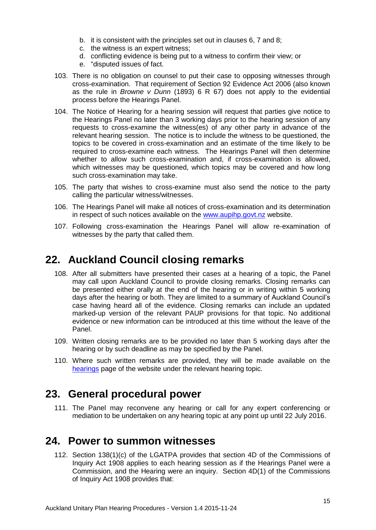- b. it is consistent with the principles set out in clauses 6, 7 and 8;
- c. the witness is an expert witness;
- d. conflicting evidence is being put to a witness to confirm their view; or
- e. "disputed issues of fact.
- 103. There is no obligation on counsel to put their case to opposing witnesses through cross-examination. That requirement of Section 92 Evidence Act 2006 (also known as the rule in *Browne v Dunn* (1893) 6 R 67) does not apply to the evidential process before the Hearings Panel.
- 104. The Notice of Hearing for a hearing session will request that parties give notice to the Hearings Panel no later than 3 working days prior to the hearing session of any requests to cross-examine the witness(es) of any other party in advance of the relevant hearing session. The notice is to include the witness to be questioned, the topics to be covered in cross-examination and an estimate of the time likely to be required to cross-examine each witness. The Hearings Panel will then determine whether to allow such cross-examination and, if cross-examination is allowed, which witnesses may be questioned, which topics may be covered and how long such cross-examination may take.
- 105. The party that wishes to cross-examine must also send the notice to the party calling the particular witness/witnesses.
- 106. The Hearings Panel will make all notices of cross-examination and its determination in respect of such notices available on the [www.aupihp.govt.nz](mailto:www.aupihp.govt.nz) website.
- <span id="page-15-0"></span>107. Following cross-examination the Hearings Panel will allow re-examination of witnesses by the party that called them.

#### **22. Auckland Council closing remarks**

- 108. After all submitters have presented their cases at a hearing of a topic, the Panel may call upon Auckland Council to provide closing remarks. Closing remarks can be presented either orally at the end of the hearing or in writing within 5 working days after the hearing or both. They are limited to a summary of Auckland Council's case having heard all of the evidence. Closing remarks can include an updated marked-up version of the relevant PAUP provisions for that topic. No additional evidence or new information can be introduced at this time without the leave of the Panel.
- 109. Written closing remarks are to be provided no later than 5 working days after the hearing or by such deadline as may be specified by the Panel.
- <span id="page-15-1"></span>110. Where such written remarks are provided, they will be made available on the [hearings](https://hearings.aupihp.govt.nz/hearings) page of the website under the relevant hearing topic.

#### **23. General procedural power**

<span id="page-15-2"></span>111. The Panel may reconvene any hearing or call for any expert conferencing or mediation to be undertaken on any hearing topic at any point up until 22 July 2016.

#### **24. Power to summon witnesses**

112. Section 138(1)(c) of the LGATPA provides that section 4D of the Commissions of Inquiry Act 1908 applies to each hearing session as if the Hearings Panel were a Commission, and the Hearing were an inquiry. Section 4D(1) of the Commissions of Inquiry Act 1908 provides that: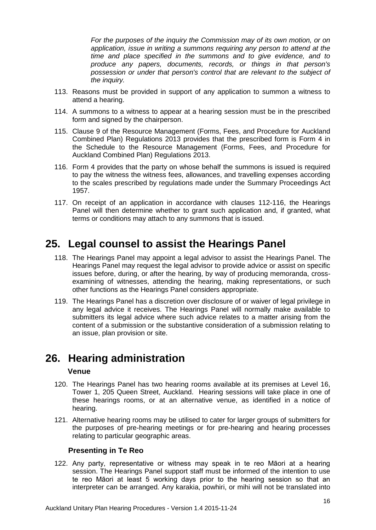*For the purposes of the inquiry the Commission may of its own motion, or on application, issue in writing a summons requiring any person to attend at the time and place specified in the summons and to give evidence, and to produce any papers, documents, records, or things in that person's possession or under that person's control that are relevant to the subject of the inquiry.*

- 113. Reasons must be provided in support of any application to summon a witness to attend a hearing.
- 114. A summons to a witness to appear at a hearing session must be in the prescribed form and signed by the chairperson.
- 115. Clause 9 of the Resource Management (Forms, Fees, and Procedure for Auckland Combined Plan) Regulations 2013 provides that the prescribed form is Form 4 in the Schedule to the Resource Management (Forms, Fees, and Procedure for Auckland Combined Plan) Regulations 2013.
- 116. Form 4 provides that the party on whose behalf the summons is issued is required to pay the witness the witness fees, allowances, and travelling expenses according to the scales prescribed by regulations made under the [Summary Proceedings Act](http://www.brookersonline.co.nz/databases/modus/lawpart/regs/link?id=ACT-NZL-PUB-Y.1957-87&si=1878974479&sid=wsbax6qm4q6aewkc4f203nwfesdmdosj&hli=0&sp=statutes)  [1957.](http://www.brookersonline.co.nz/databases/modus/lawpart/regs/link?id=ACT-NZL-PUB-Y.1957-87&si=1878974479&sid=wsbax6qm4q6aewkc4f203nwfesdmdosj&hli=0&sp=statutes)
- 117. On receipt of an application in accordance with clauses 112-116, the Hearings Panel will then determine whether to grant such application and, if granted, what terms or conditions may attach to any summons that is issued.

### <span id="page-16-0"></span>**25. Legal counsel to assist the Hearings Panel**

- 118. The Hearings Panel may appoint a legal advisor to assist the Hearings Panel. The Hearings Panel may request the legal advisor to provide advice or assist on specific issues before, during, or after the hearing, by way of producing memoranda, crossexamining of witnesses, attending the hearing, making representations, or such other functions as the Hearings Panel considers appropriate.
- 119. The Hearings Panel has a discretion over disclosure of or waiver of legal privilege in any legal advice it receives. The Hearings Panel will normally make available to submitters its legal advice where such advice relates to a matter arising from the content of a submission or the substantive consideration of a submission relating to an issue, plan provision or site.

### <span id="page-16-1"></span>**26. Hearing administration**

#### **Venue**

- 120. The Hearings Panel has two hearing rooms available at its premises at Level 16, Tower 1, 205 Queen Street, Auckland. Hearing sessions will take place in one of these hearings rooms, or at an alternative venue, as identified in a notice of hearing.
- 121. Alternative hearing rooms may be utilised to cater for larger groups of submitters for the purposes of pre-hearing meetings or for pre-hearing and hearing processes relating to particular geographic areas.

#### **Presenting in Te Reo**

122. Any party, representative or witness may speak in te reo Māori at a hearing session. The Hearings Panel support staff must be informed of the intention to use te reo Māori at least 5 working days prior to the hearing session so that an interpreter can be arranged. Any karakia, powhiri, or mihi will not be translated into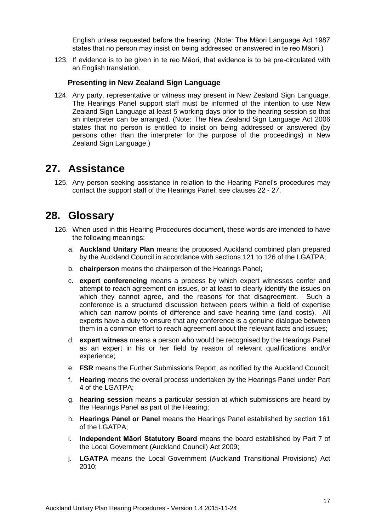English unless requested before the hearing. (Note: The Māori Language Act 1987 states that no person may insist on being addressed or answered in te reo Māori.)

123. If evidence is to be given in te reo Māori, that evidence is to be pre-circulated with an English translation.

#### **Presenting in New Zealand Sign Language**

124. Any party, representative or witness may present in New Zealand Sign Language. The Hearings Panel support staff must be informed of the intention to use New Zealand Sign Language at least 5 working days prior to the hearing session so that an interpreter can be arranged. (Note: The New Zealand Sign Language Act 2006 states that no person is entitled to insist on being addressed or answered (by persons other than the interpreter for the purpose of the proceedings) in New Zealand Sign Language.)

#### <span id="page-17-0"></span>**27. Assistance**

<span id="page-17-1"></span>125. Any person seeking assistance in relation to the Hearing Panel's procedures may contact the support staff of the Hearings Panel: see clauses 22 - 27.

#### **28. Glossary**

- 126. When used in this Hearing Procedures document, these words are intended to have the following meanings:
	- a. **Auckland Unitary Plan** means the proposed Auckland combined plan prepared by the Auckland Council in accordance with sections 121 to 126 of the LGATPA;
	- b. **chairperson** means the chairperson of the Hearings Panel;
	- c. **expert conferencing** means a process by which expert witnesses confer and attempt to reach agreement on issues, or at least to clearly identify the issues on which they cannot agree, and the reasons for that disagreement. Such a conference is a structured discussion between peers within a field of expertise which can narrow points of difference and save hearing time (and costs). All experts have a duty to ensure that any conference is a genuine dialogue between them in a common effort to reach agreement about the relevant facts and issues;
	- d. **expert witness** means a person who would be recognised by the Hearings Panel as an expert in his or her field by reason of relevant qualifications and/or experience;
	- e. **FSR** means the Further Submissions Report, as notified by the Auckland Council;
	- f. **Hearing** means the overall process undertaken by the Hearings Panel under Part 4 of the LGATPA;
	- g. **hearing session** means a particular session at which submissions are heard by the Hearings Panel as part of the Hearing;
	- h. **Hearings Panel or Panel** means the Hearings Panel established by section 161 of the LGATPA;
	- i. **Independent Māori Statutory Board** means the board established by Part 7 of the Local Government (Auckland Council) Act 2009;
	- j. **LGATPA** means the Local Government (Auckland Transitional Provisions) Act 2010;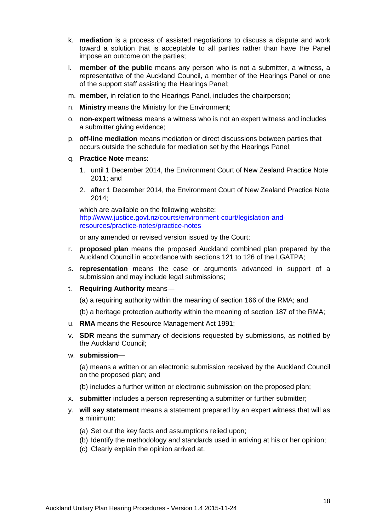- k. **mediation** is a process of assisted negotiations to discuss a dispute and work toward a solution that is acceptable to all parties rather than have the Panel impose an outcome on the parties;
- l. **member of the public** means any person who is not a submitter, a witness, a representative of the Auckland Council, a member of the Hearings Panel or one of the support staff assisting the Hearings Panel;
- m. **member**, in relation to the Hearings Panel, includes the chairperson;
- n. **Ministry** means the Ministry for the Environment;
- o. **non-expert witness** means a witness who is not an expert witness and includes a submitter giving evidence;
- p. **off-line mediation** means mediation or direct discussions between parties that occurs outside the schedule for mediation set by the Hearings Panel;
- q. **Practice Note** means:
	- 1. until 1 December 2014, the Environment Court of New Zealand Practice Note 2011; and
	- 2. after 1 December 2014, the Environment Court of New Zealand Practice Note 2014;

which are available on the following website: [http://www.justice.govt.nz/courts/environment-court/legislation-and](http://www.justice.govt.nz/courts/environment-court/legislation-and-resources/practice-notes/practice-notes)[resources/practice-notes/practice-notes](http://www.justice.govt.nz/courts/environment-court/legislation-and-resources/practice-notes/practice-notes)

or any amended or revised version issued by the Court;

- r. **proposed plan** means the proposed Auckland combined plan prepared by the Auckland Council in accordance with sections 121 to 126 of the LGATPA;
- s. **representation** means the case or arguments advanced in support of a submission and may include legal submissions;
- t. **Requiring Authority** means—
	- (a) a requiring authority within the meaning of section 166 of the RMA; and
	- (b) a heritage protection authority within the meaning of section 187 of the RMA;
- u. **RMA** means the Resource Management Act 1991;
- v. **SDR** means the summary of decisions requested by submissions, as notified by the Auckland Council;
- w. **submission**—

(a) means a written or an electronic submission received by the Auckland Council on the proposed plan; and

- (b) includes a further written or electronic submission on the proposed plan;
- x. **submitter** includes a person representing a submitter or further submitter;
- y. **will say statement** means a statement prepared by an expert witness that will as a minimum:
	- (a) Set out the key facts and assumptions relied upon;
	- (b) Identify the methodology and standards used in arriving at his or her opinion;
	- (c) Clearly explain the opinion arrived at.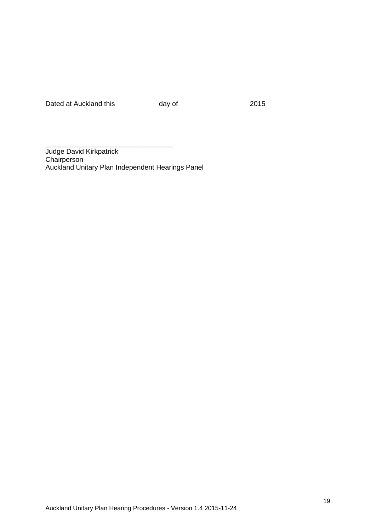Dated at Auckland this day of 2015

Judge David Kirkpatrick **Chairperson** Auckland Unitary Plan Independent Hearings Panel

\_\_\_\_\_\_\_\_\_\_\_\_\_\_\_\_\_\_\_\_\_\_\_\_\_\_\_\_\_\_\_\_\_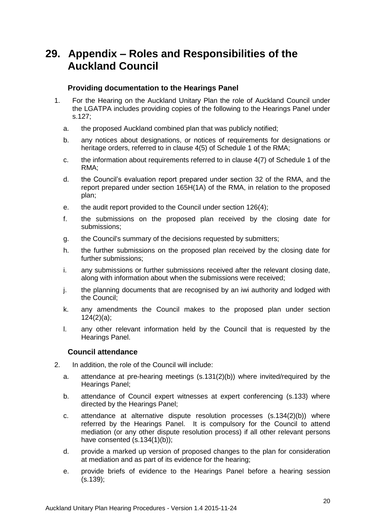# <span id="page-20-0"></span>**29. Appendix – Roles and Responsibilities of the Auckland Council**

#### **Providing documentation to the Hearings Panel**

- 1. For the Hearing on the Auckland Unitary Plan the role of Auckland Council under the LGATPA includes providing copies of the following to the Hearings Panel under s.127;
	- a. the proposed Auckland combined plan that was publicly notified;
	- b. any notices about designations, or notices of requirements for designations or heritage orders, referred to in clause 4(5) of Schedule 1 of the RMA;
	- c. the information about requirements referred to in clause 4(7) of Schedule 1 of the RMA;
	- d. the Council's evaluation report prepared under section 32 of the RMA, and the report prepared under section 165H(1A) of the RMA, in relation to the proposed plan;
	- e. the audit report provided to the Council under section 126(4);
	- f. the submissions on the proposed plan received by the closing date for submissions;
	- g. the Council's summary of the decisions requested by submitters;
	- h. the further submissions on the proposed plan received by the closing date for further submissions;
	- i. any submissions or further submissions received after the relevant closing date, along with information about when the submissions were received;
	- j. the planning documents that are recognised by an iwi authority and lodged with the Council;
	- k. any amendments the Council makes to the proposed plan under section 124(2)(a);
	- l. any other relevant information held by the Council that is requested by the Hearings Panel.

#### **Council attendance**

- 2. In addition, the role of the Council will include:
	- a. attendance at pre-hearing meetings (s.131(2)(b)) where invited/required by the Hearings Panel;
	- b. attendance of Council expert witnesses at expert conferencing (s.133) where directed by the Hearings Panel;
	- c. attendance at alternative dispute resolution processes (s.134(2)(b)) where referred by the Hearings Panel. It is compulsory for the Council to attend mediation (or any other dispute resolution process) if all other relevant persons have consented (s.134(1)(b));
	- d. provide a marked up version of proposed changes to the plan for consideration at mediation and as part of its evidence for the hearing;
	- e. provide briefs of evidence to the Hearings Panel before a hearing session (s.139);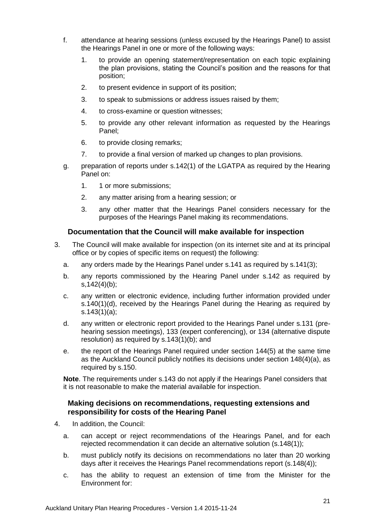- f. attendance at hearing sessions (unless excused by the Hearings Panel) to assist the Hearings Panel in one or more of the following ways:
	- 1. to provide an opening statement/representation on each topic explaining the plan provisions, stating the Council's position and the reasons for that position;
	- 2. to present evidence in support of its position;
	- 3. to speak to submissions or address issues raised by them;
	- 4. to cross-examine or question witnesses;
	- 5. to provide any other relevant information as requested by the Hearings Panel;
	- 6. to provide closing remarks;
	- 7. to provide a final version of marked up changes to plan provisions.
- g. preparation of reports under s.142(1) of the LGATPA as required by the Hearing Panel on:
	- 1. 1 or more submissions;
	- 2. any matter arising from a hearing session; or
	- 3. any other matter that the Hearings Panel considers necessary for the purposes of the Hearings Panel making its recommendations.

#### **Documentation that the Council will make available for inspection**

- 3. The Council will make available for inspection (on its internet site and at its principal office or by copies of specific items on request) the following:
	- a. any orders made by the Hearings Panel under s.141 as required by s.141(3);
	- b. any reports commissioned by the Hearing Panel under s.142 as required by s,142(4)(b);
	- c. any written or electronic evidence, including further information provided under s.140(1)(d), received by the Hearings Panel during the Hearing as required by s.143(1)(a);
	- d. any written or electronic report provided to the Hearings Panel under s.131 (prehearing session meetings), 133 (expert conferencing), or 134 (alternative dispute resolution) as required by s.143(1)(b); and
	- e. the report of the Hearings Panel required under section 144(5) at the same time as the Auckland Council publicly notifies its decisions under section 148(4)(a), as required by s.150.

**Note**. The requirements under s.143 do not apply if the Hearings Panel considers that it is not reasonable to make the material available for inspection.

#### **Making decisions on recommendations, requesting extensions and responsibility for costs of the Hearing Panel**

- 4. In addition, the Council:
	- a. can accept or reject recommendations of the Hearings Panel, and for each rejected recommendation it can decide an alternative solution (s.148(1));
	- b. must publicly notify its decisions on recommendations no later than 20 working days after it receives the Hearings Panel recommendations report (s.148(4));
	- c. has the ability to request an extension of time from the Minister for the Environment for: